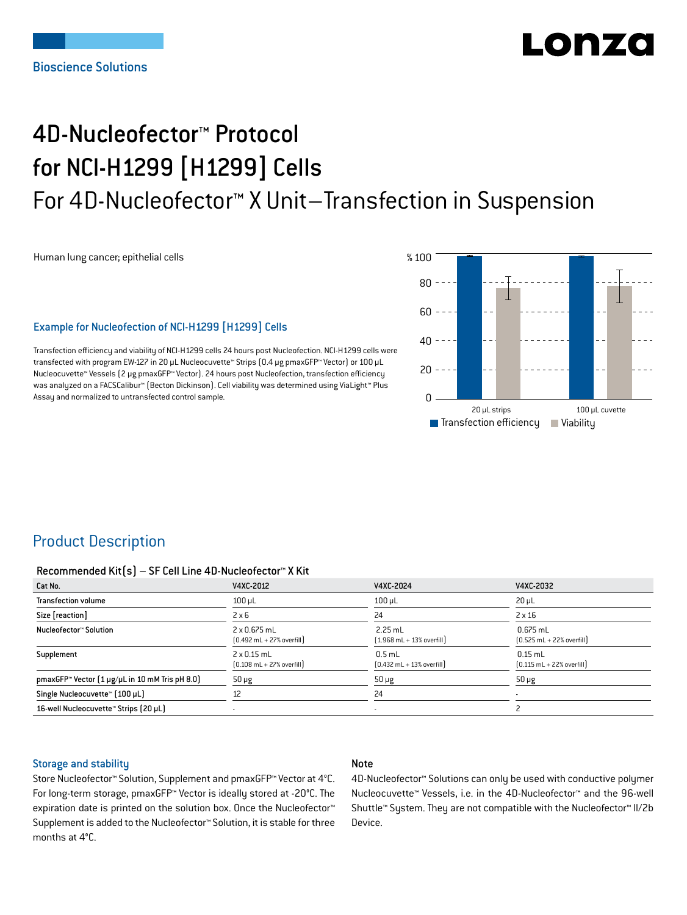# LONZ

# 4D-Nucleofector™ Protocol for NCI-H1299 [H1299] Cells For 4D-Nucleofector™ X Unit–Transfection in Suspension

Human lung cancer; epithelial cells

## Example for Nucleofection of NCI-H1299 [H1299] Cells

Transfection efficiency and viability of NCI-H1299 cells 24 hours post Nucleofection. NCI-H1299 cells were transfected with program EW-127 in 20 μL Nucleocuvette™ Strips (0.4 μg pmaxGFP™ Vector) or 100 μL Nucleocuvette™ Vessels (2 μg pmaxGFP™ Vector). 24 hours post Nucleofection, transfection efficiency was analyzed on a FACSCalibur™ (Becton Dickinson). Cell viability was determined using ViaLight™ Plus Assay and normalized to untransfected control sample.



# Product Description

#### Recommended Kit(s) – SF Cell Line 4D-Nucleofector™ X Kit

| Cat No.                                                            | V4XC-2012                                                          | V4XC-2024                                                 | V4XC-2032                                                  |
|--------------------------------------------------------------------|--------------------------------------------------------------------|-----------------------------------------------------------|------------------------------------------------------------|
| <b>Transfection volume</b>                                         | $100 \mu L$                                                        | $100$ $\mu$ L                                             | $20 \mu L$                                                 |
| Size [reaction]                                                    | $2 \times 6$                                                       | 24                                                        | $2 \times 16$                                              |
| Nucleofector™ Solution                                             | 2 x 0.675 mL<br>$[0.492 \text{ mL} + 27\% \text{ overfill}]$       | $2.25$ mL<br>$(1.968 \text{ mL} + 13\% \text{ overfill})$ | $0.675$ mL<br>$[0.525 \text{ mL} + 22\% \text{ overfill}]$ |
| Supplement                                                         | $2 \times 0.15$ mL<br>$[0.108 \text{ mL} + 27\% \text{ overfill}]$ | $0.5$ mL<br>$[0.432 \text{ mL} + 13\% \text{ overfill}]$  | $0.15$ mL<br>$[0.115 \text{ mL} + 22\% \text{ overfill}]$  |
| pmaxGFP <sup>*</sup> Vector $[1 \mu g/\mu L$ in 10 mM Tris pH 8.0) | $50 \mu g$                                                         | $50 \mu g$                                                | $50 \mu g$                                                 |
| Single Nucleocuvette™ [100 µL]                                     | 12                                                                 | 24                                                        |                                                            |
| 16-well Nucleocuvette™ Strips (20 µL)                              |                                                                    | ۰                                                         |                                                            |

### Storage and stability

### Note

Store Nucleofector™ Solution, Supplement and pmaxGFP™ Vector at 4°C. For long-term storage, pmaxGFP™ Vector is ideally stored at -20°C. The expiration date is printed on the solution box. Once the Nucleofector™ Supplement is added to the Nucleofector™ Solution, it is stable for three months at 4°C.

4D-Nucleofector™ Solutions can only be used with conductive polymer Nucleocuvette™ Vessels, i.e. in the 4D-Nucleofector™ and the 96-well Shuttle™ System. They are not compatible with the Nucleofector™ II/2b Device.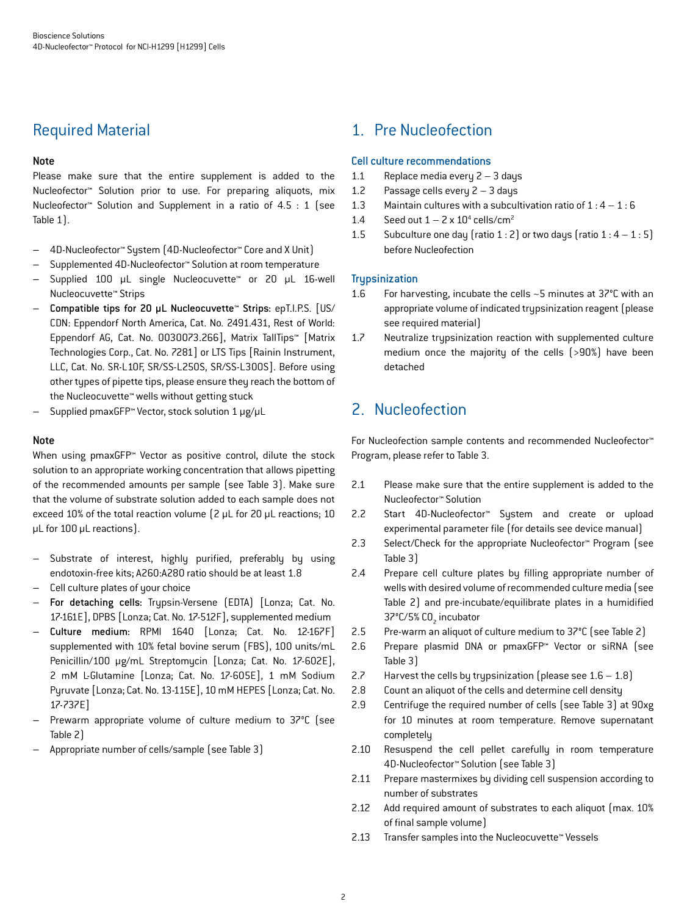# Required Material

## Note

Please make sure that the entire supplement is added to the Nucleofector™ Solution prior to use. For preparing aliquots, mix Nucleofector™ Solution and Supplement in a ratio of 4.5 : 1 (see Table 1).

- 4D-Nucleofector™ System (4D-Nucleofector™ Core and X Unit)
- Supplemented 4D-Nucleofector™ Solution at room temperature
- Supplied 100 μL single Nucleocuvette™ or 20 μL 16-well Nucleocuvette™ Strips
- Compatible tips for 20 μL Nucleocuvette™ Strips: epT.I.P.S. [US/ CDN: Eppendorf North America, Cat. No. 2491.431, Rest of World: Eppendorf AG, Cat. No. 0030073.266], Matrix TallTips™ [Matrix Technologies Corp., Cat. No. 7281] or LTS Tips [Rainin Instrument, LLC, Cat. No. SR-L10F, SR/SS-L250S, SR/SS-L300S]. Before using other types of pipette tips, please ensure they reach the bottom of the Nucleocuvette™ wells without getting stuck
- Supplied pmaxGFP™ Vector, stock solution 1 μg/μL

## **Note**

When using pmaxGFP<sup>™</sup> Vector as positive control, dilute the stock solution to an appropriate working concentration that allows pipetting of the recommended amounts per sample (see Table 3). Make sure that the volume of substrate solution added to each sample does not exceed 10% of the total reaction volume (2 μL for 20 μL reactions; 10 μL for 100 μL reactions).

- Substrate of interest, highly purified, preferably by using endotoxin-free kits; A260:A280 ratio should be at least 1.8
- Cell culture plates of your choice
- For detaching cells: Trypsin-Versene (EDTA) [Lonza; Cat. No. 17-161E], DPBS [Lonza; Cat. No. 17-512F], supplemented medium
- Culture medium: RPMI 1640 [Lonza; Cat. No. 12-167F] supplemented with 10% fetal bovine serum (FBS), 100 units/mL Penicillin/100 μg/mL Streptomycin [Lonza; Cat. No. 17-602E], 2 mM L-Glutamine [Lonza; Cat. No. 17-605E], 1 mM Sodium Pyruvate [Lonza; Cat. No. 13-115E], 10 mM HEPES [Lonza; Cat. No. 17-737E]
- Prewarm appropriate volume of culture medium to 37°C (see Table 2)
- Appropriate number of cells/sample (see Table 3)

# 1. Pre Nucleofection

## Cell culture recommendations

- 1.1 Replace media every 2 3 days
- 1.2 Passage cells every 2 3 days
- 1.3 Maintain cultures with a subcultivation ratio of  $1:4-1:6$
- 1.4 Seed out  $1 2 \times 10^4$  cells/cm<sup>2</sup>
- 1.5 Subculture one day (ratio 1 : 2) or two days (ratio  $1:4-1:5$ ) before Nucleofection

## **Trypsinization**

- 1.6 For harvesting, incubate the cells ~5 minutes at 37°C with an appropriate volume of indicated trypsinization reagent (please see required material)
- 1.7 Neutralize trypsinization reaction with supplemented culture medium once the majority of the cells (>90%) have been detached

# 2. Nucleofection

For Nucleofection sample contents and recommended Nucleofector™ Program, please refer to Table 3.

- 2.1 Please make sure that the entire supplement is added to the Nucleofector™ Solution
- 2.2 Start 4D-Nucleofector™ System and create or upload experimental parameter file (for details see device manual)
- 2.3 Select/Check for the appropriate Nucleofector™ Program (see Table 3)
- 2.4 Prepare cell culture plates by filling appropriate number of wells with desired volume of recommended culture media (see Table 2) and pre-incubate/equilibrate plates in a humidified 37°C/5% CO<sub>2</sub> incubator
- 2.5 Pre-warm an aliquot of culture medium to 37°C (see Table 2)
- 2.6 Prepare plasmid DNA or pmaxGFP™ Vector or siRNA (see Table 3)
- 2.7 Harvest the cells by trypsinization (please see  $1.6 1.8$ )
- 2.8 Count an aliquot of the cells and determine cell density
- 2.9 Centrifuge the required number of cells (see Table 3) at 90xg for 10 minutes at room temperature. Remove supernatant completely
- 2.10 Resuspend the cell pellet carefully in room temperature 4D-Nucleofector™ Solution (see Table 3)
- 2.11 Prepare mastermixes by dividing cell suspension according to number of substrates
- 2.12 Add required amount of substrates to each aliquot (max. 10%) of final sample volume)
- 2.13 Transfer samples into the Nucleocuvette™ Vessels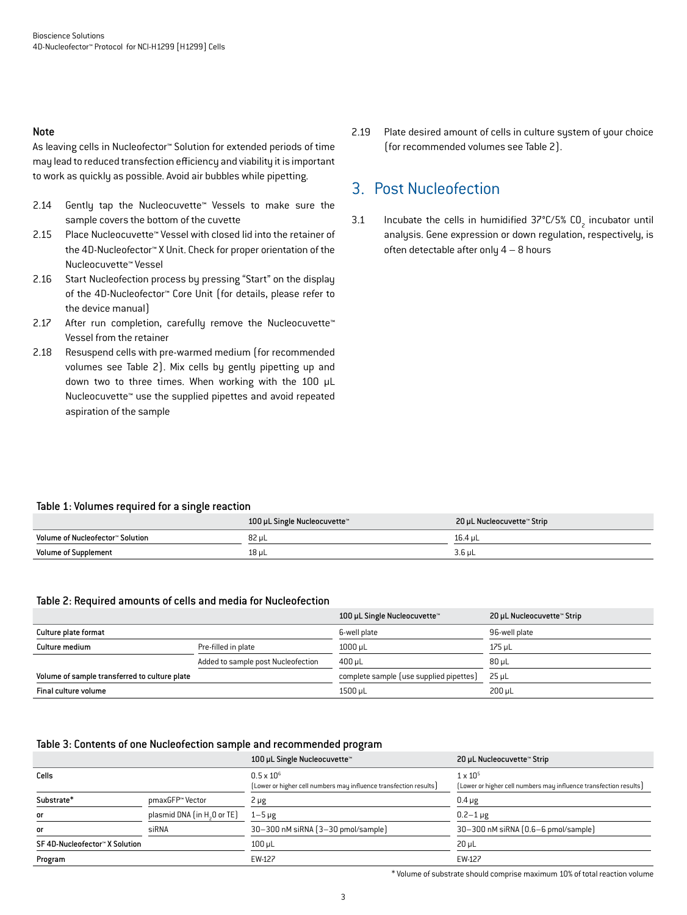#### Note

As leaving cells in Nucleofector™ Solution for extended periods of time may lead to reduced transfection efficiency and viability it is important to work as quickly as possible. Avoid air bubbles while pipetting.

- 2.14 Gently tap the Nucleocuvette™ Vessels to make sure the sample covers the bottom of the cuvette
- 2.15 Place Nucleocuvette™ Vessel with closed lid into the retainer of the 4D-Nucleofector™ X Unit. Check for proper orientation of the Nucleocuvette™ Vessel
- 2.16 Start Nucleofection process by pressing "Start" on the display of the 4D-Nucleofector™ Core Unit (for details, please refer to the device manual)
- 2.17 After run completion, carefully remove the Nucleocuvette™ Vessel from the retainer
- 2.18 Resuspend cells with pre-warmed medium (for recommended volumes see Table 2). Mix cells by gently pipetting up and down two to three times. When working with the 100 μL Nucleocuvette™ use the supplied pipettes and avoid repeated aspiration of the sample

2.19 Plate desired amount of cells in culture system of your choice (for recommended volumes see Table 2).

## 3. Post Nucleofection

3.1 Incubate the cells in humidified  $37^{\circ}$ C/5% CO<sub>2</sub> incubator until analysis. Gene expression or down regulation, respectively, is often detectable after only 4 – 8 hours

### Table 1: Volumes required for a single reaction

|                                  | 100 µL Single Nucleocuvette™ | 20 µL Nucleocuvette™ Strip |
|----------------------------------|------------------------------|----------------------------|
| Volume of Nucleofector™ Solution | 82 uL                        | 16.4 uL                    |
| <b>Volume of Supplement</b>      | 18 µL                        | 3.6 uL                     |

#### Table 2: Required amounts of cells and media for Nucleofection

|                                               |                                    | 100 µL Single Nucleocuvette™            | 20 µL Nucleocuvette™ Strip |
|-----------------------------------------------|------------------------------------|-----------------------------------------|----------------------------|
| Culture plate format                          |                                    | 6-well plate                            | 96-well plate              |
| Culture medium                                | Pre-filled in plate                | $1000 \mu L$                            | 175 uL                     |
|                                               | Added to sample post Nucleofection | 400 uL                                  | 80 uL                      |
| Volume of sample transferred to culture plate |                                    | complete sample (use supplied pipettes) | 25 uL                      |
| Final culture volume                          |                                    | 1500 µL                                 | $200 \mu L$                |

#### Table 3: Contents of one Nucleofection sample and recommended program

|                                |                                         | 100 µL Single Nucleocuvette™                                                             | 20 µL Nucleocuvette™ Strip                                                             |
|--------------------------------|-----------------------------------------|------------------------------------------------------------------------------------------|----------------------------------------------------------------------------------------|
| Cells                          |                                         | $0.5 \times 10^{6}$<br>[Lower or higher cell numbers may influence transfection results] | $1 \times 10^{5}$<br>[Lower or higher cell numbers may influence transfection results] |
| Substrate*                     | pmaxGFP™ Vector                         | $2 \mu g$                                                                                | $0.4 \mu g$                                                                            |
| or                             | plasmid DNA (in H <sub>2</sub> O or TE) | $1 - 5 \mu g$                                                                            | $0.2 - 1 \,\mu g$                                                                      |
| or                             | siRNA                                   | 30-300 nM siRNA (3-30 pmol/sample)                                                       | 30-300 nM siRNA (0.6-6 pmol/sample)                                                    |
| SF 4D-Nucleofector™ X Solution |                                         | $100 \mu L$                                                                              | $20 \mu L$                                                                             |
| Program                        |                                         | EW-127                                                                                   | EW-127                                                                                 |

\* Volume of substrate should comprise maximum 10% of total reaction volume